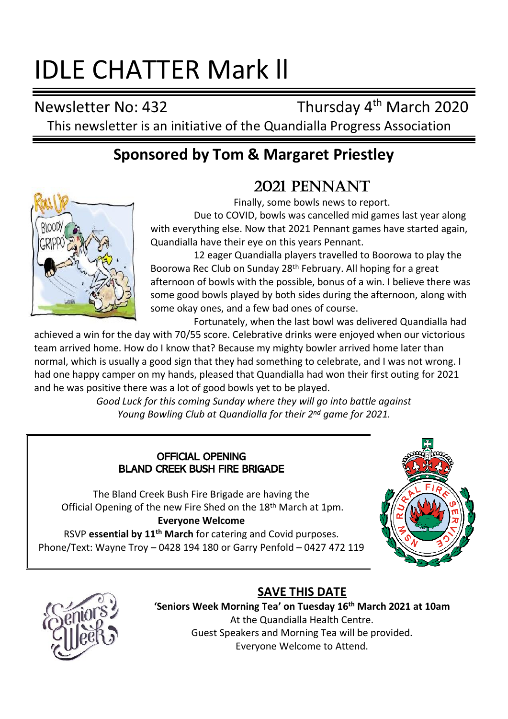# IDLE CHATTER Mark ll

Newsletter No: 432 Thursday 4<sup>th</sup> March 2020 This newsletter is an initiative of the Quandialla Progress Association

# **Sponsored by Tom & Margaret Priestley**

# 2021 PENNANT



Finally, some bowls news to report.

Due to COVID, bowls was cancelled mid games last year along with everything else. Now that 2021 Pennant games have started again, Quandialla have their eye on this years Pennant.

12 eager Quandialla players travelled to Boorowa to play the Boorowa Rec Club on Sunday 28th February. All hoping for a great afternoon of bowls with the possible, bonus of a win. I believe there was some good bowls played by both sides during the afternoon, along with some okay ones, and a few bad ones of course.

Fortunately, when the last bowl was delivered Quandialla had

achieved a win for the day with 70/55 score. Celebrative drinks were enjoyed when our victorious team arrived home. How do I know that? Because my mighty bowler arrived home later than normal, which is usually a good sign that they had something to celebrate, and I was not wrong. I had one happy camper on my hands, pleased that Quandialla had won their first outing for 2021 and he was positive there was a lot of good bowls yet to be played.

> *Good Luck for this coming Sunday where they will go into battle against Young Bowling Club at Quandialla for their 2nd game for 2021.*

#### OFFICIAL OPENING BLAND CREEK BUSH FIRE BRIGADE

The Bland Creek Bush Fire Brigade are having the Official Opening of the new Fire Shed on the 18th March at 1pm.

### **Everyone Welcome**

RSVP **essential by 11th March** for catering and Covid purposes. Phone/Text: Wayne Troy – 0428 194 180 or Garry Penfold – 0427 472 119





## **SAVE THIS DATE**

**'Seniors Week Morning Tea' on Tuesday 16th March 2021 at 10am** At the Quandialla Health Centre. Guest Speakers and Morning Tea will be provided. Everyone Welcome to Attend.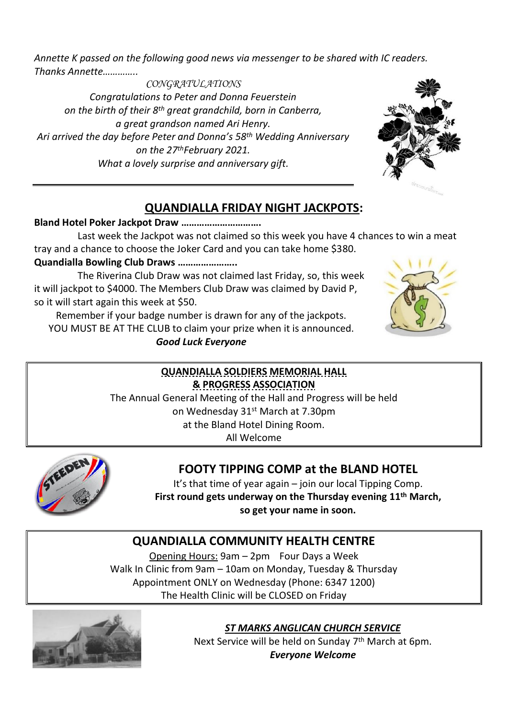*Annette K passed on the following good news via messenger to be shared with IC readers. Thanks Annette…………..*

*CONGRATULATIONS Congratulations to Peter and Donna Feuerstein on the birth of their 8th great grandchild, born in Canberra, a great grandson named Ari Henry. Ari arrived the day before Peter and Donna's 58th Wedding Anniversary on the 27thFebruary 2021. What a lovely surprise and anniversary gift.*



## **QUANDIALLA FRIDAY NIGHT JACKPOTS:**

#### **Bland Hotel Poker Jackpot Draw ………………………….**

Last week the Jackpot was not claimed so this week you have 4 chances to win a meat tray and a chance to choose the Joker Card and you can take home \$380.

**Quandialla Bowling Club Draws …………………..**

The Riverina Club Draw was not claimed last Friday, so, this week it will jackpot to \$4000. The Members Club Draw was claimed by David P, so it will start again this week at \$50.

Remember if your badge number is drawn for any of the jackpots. YOU MUST BE AT THE CLUB to claim your prize when it is announced. *Good Luck Everyone*



## **QUANDIALLA SOLDIERS MEMORIAL HALL & PROGRESS ASSOCIATION**

The Annual General Meeting of the Hall and Progress will be held on Wednesday 31st March at 7.30pm at the Bland Hotel Dining Room. All Welcome



# **FOOTY TIPPING COMP at the BLAND HOTEL**

It's that time of year again – join our local Tipping Comp. **First round gets underway on the Thursday evening 11 th March, so get your name in soon.**

# **QUANDIALLA COMMUNITY HEALTH CENTRE**

Opening Hours: 9am – 2pm Four Days a Week Walk In Clinic from 9am – 10am on Monday, Tuesday & Thursday Appointment ONLY on Wednesday (Phone: 6347 1200) The Health Clinic will be CLOSED on Friday



*ST MARKS ANGLICAN CHURCH SERVICE*

Next Service will be held on Sunday 7<sup>th</sup> March at 6pm. *Everyone Welcome*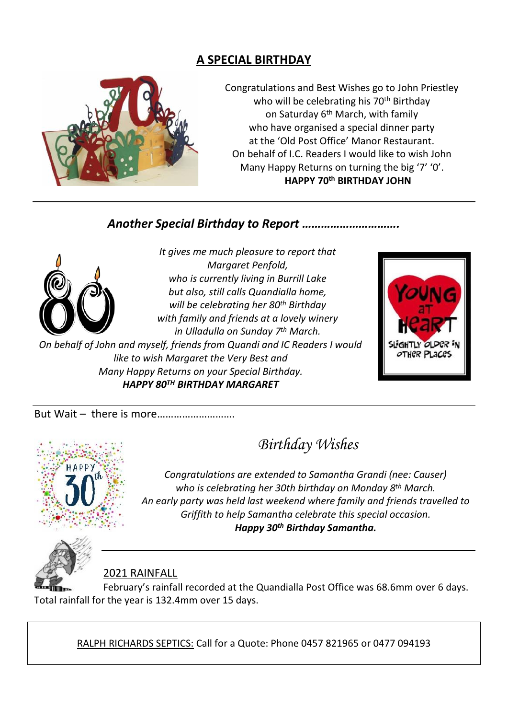## **A SPECIAL BIRTHDAY**



Congratulations and Best Wishes go to John Priestley who will be celebrating his 70<sup>th</sup> Birthday on Saturday 6th March, with family who have organised a special dinner party at the 'Old Post Office' Manor Restaurant. On behalf of I.C. Readers I would like to wish John Many Happy Returns on turning the big '7' '0'.  **HAPPY 70 th BIRTHDAY JOHN**

## *Another Special Birthday to Report ………………………….*



*It gives me much pleasure to report that Margaret Penfold, who is currently living in Burrill Lake but also, still calls Quandialla home, will be celebrating her 80th Birthday with family and friends at a lovely winery in Ulladulla on Sunday 7 th March.* 

*On behalf of John and myself, friends from Quandi and IC Readers I would like to wish Margaret the Very Best and Many Happy Returns on your Special Birthday. HAPPY 80TH BIRTHDAY MARGARET*



But Wait – there is more……………………….



# *Birthday Wishes*

*Congratulations are extended to Samantha Grandi (nee: Causer) who is celebrating her 30th birthday on Monday 8 th March. An early party was held last weekend where family and friends travelled to Griffith to help Samantha celebrate this special occasion. Happy 30th Birthday Samantha.*



2021 RAINFALL

February's rainfall recorded at the Quandialla Post Office was 68.6mm over 6 days. Total rainfall for the year is 132.4mm over 15 days.

RALPH RICHARDS SEPTICS: Call for a Quote: Phone 0457 821965 or 0477 094193